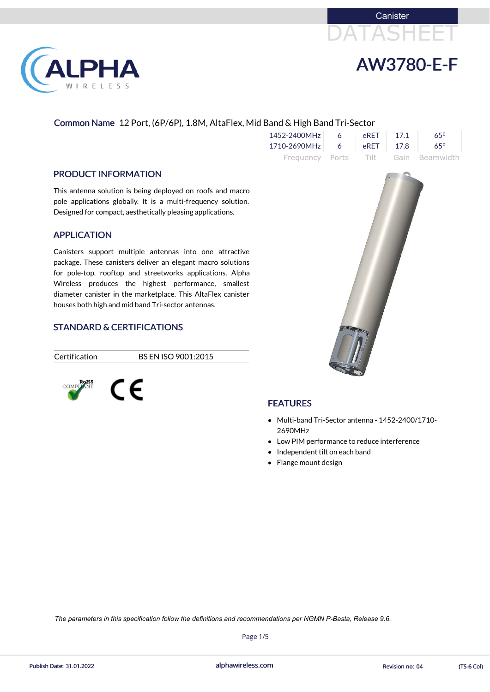



### Common Name 12 Port, (6P/6P), 1.8M, AltaFlex, Mid Band & High Band Tri-Sector

|               | $1452 - 2400 MHz$ 6      | eRET 17.1 | $65^\circ$                          |  |
|---------------|--------------------------|-----------|-------------------------------------|--|
|               | 1710-2690MHz 6 eRET 17.8 |           | $65^{\circ}$                        |  |
|               |                          |           | Frequency Ports Tilt Gain Beamwidth |  |
| ofs and macro |                          |           |                                     |  |

#### PRODUCT INFORMATION

**PHA** 

RELESS

This antenna solution is being deployed on roofs and macro pole applications globally. It is a multi-frequency solution. Designed for compact, aesthetically pleasing applications.

- Multi-band Tri-Sector antenna 1452-2400/1710- 2690MHz
- Low PIM performance to reduce interference
- Independent tilt on each band
- Flange mount design

#### APPLICATION

Canisters support multiple antennas into one attractive package. These canisters deliver an elegant macro solutions for pole-top, rooftop and streetworks applications. Alpha Wireless produces the highest performance, smallest diameter canister in the marketplace. This AltaFlex canister houses both high and mid band Tri-sector antennas.

#### STANDARD & CERTIFICATIONS



Certification BS EN ISO 9001:2015





## **FEATURES**

alphawireless.com

Page 1/5

Publish Date: 31.01.2022 **Revision no: 04** TS-6 Col)

*The parameters in this specification follow the definitions and recommendations per NGMN P-Basta, Release 9.6.*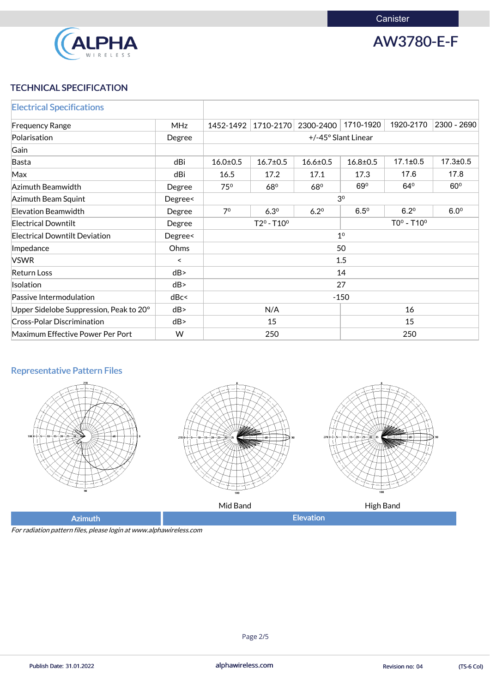

AW3780-E-F

# TECHNICAL SPECIFICATION

| <b>Electrical Specifications</b>        |                          |                                |                |                |                     |                |                |
|-----------------------------------------|--------------------------|--------------------------------|----------------|----------------|---------------------|----------------|----------------|
| <b>Frequency Range</b>                  | <b>MHz</b>               | 1452-1492                      | 1710-2170      | 2300-2400      | 1710-1920           | 1920-2170      | 2300 - 2690    |
| Polarisation                            | Degree                   |                                |                |                | +/-45° Slant Linear |                |                |
| Gain                                    |                          |                                |                |                |                     |                |                |
| <b>Basta</b>                            | dBi                      | $16.0 \pm 0.5$                 | $16.7 \pm 0.5$ | $16.6 \pm 0.5$ | $16.8 \pm 0.5$      | $17.1 \pm 0.5$ | $17.3 \pm 0.5$ |
| Max                                     | dBi                      | 16.5                           | 17.2           | 17.1           | 17.3                | 17.6           | 17.8           |
| Azimuth Beamwidth                       | Degree                   | $75^\circ$                     | 680            | 680            | 69 <sup>o</sup>     | $64^{\circ}$   | $60^\circ$     |
| Azimuth Beam Squint                     | Degree<                  |                                |                |                | 3 <sup>0</sup>      |                |                |
| <b>Elevation Beamwidth</b>              | Degree                   | 7 <sup>0</sup>                 | $6.3^{\circ}$  | $6.2^{\circ}$  | $6.5^{\circ}$       | $6.2^{\circ}$  | $6.0^\circ$    |
| <b>Electrical Downtilt</b>              | Degree                   | $TOo - T10o$<br>$T2^o - T10^o$ |                |                |                     |                |                |
| <b>Electrical Downtilt Deviation</b>    | Degree<                  | 1 <sup>0</sup>                 |                |                |                     |                |                |
| Impedance                               | Ohms                     |                                |                |                | 50                  |                |                |
| <b>VSWR</b>                             | $\overline{\phantom{0}}$ |                                |                |                | 1.5                 |                |                |
| <b>Return Loss</b>                      | dB                       |                                |                |                | 14                  |                |                |
| Isolation                               | dB                       |                                |                |                | 27                  |                |                |
| Passive Intermodulation                 | dBc<                     |                                |                |                | $-150$              |                |                |
| Upper Sidelobe Suppression, Peak to 20° | dB                       | 16<br>N/A                      |                |                |                     |                |                |
| <b>Cross-Polar Discrimination</b>       | dB                       | 15<br>15                       |                |                |                     |                |                |
| Maximum Effective Power Per Port        | W                        |                                | 250            |                |                     | 250            |                |

# Representative Pattern Files







Mid Band **High Band** 

Azimuth **Elevation** 

For radiation pattern files, please login at www.alphawireless.com

Page 2/5

alphawireless.com Publish Date: 31.01.2022 Revision no: 04 (TS-6 Col)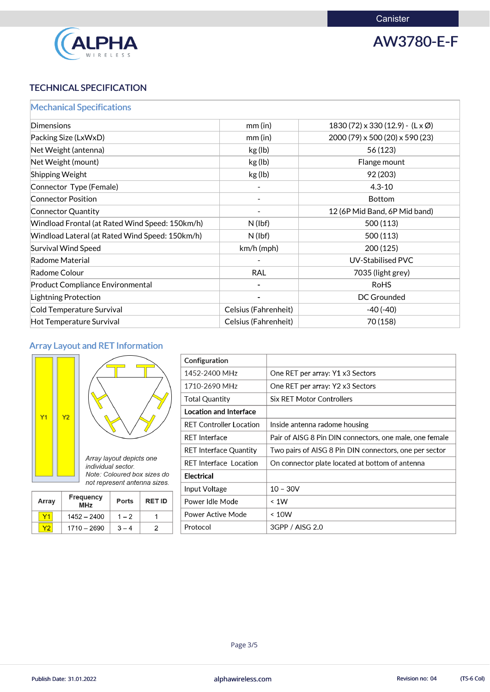

AW3780-E-F

# TECHNICAL SPECIFICATION

|  |  |  |  | <b>Mechanical Specifications</b> |  |
|--|--|--|--|----------------------------------|--|
|  |  |  |  |                                  |  |

| Dimensions                                      | mm(in)               | $1830(72) \times 330(12.9) - (L \times \emptyset)$ |
|-------------------------------------------------|----------------------|----------------------------------------------------|
| Packing Size (LxWxD)                            | mm(in)               | 2000 (79) x 500 (20) x 590 (23)                    |
| Net Weight (antenna)                            | kg (lb)              | 56 (123)                                           |
| Net Weight (mount)                              | kg (lb)              | Flange mount                                       |
| Shipping Weight                                 | kg (lb)              | 92 (203)                                           |
| Connector Type (Female)                         |                      | $4.3 - 10$                                         |
| <b>Connector Position</b>                       |                      | <b>Bottom</b>                                      |
| <b>Connector Quantity</b>                       |                      | 12 (6P Mid Band, 6P Mid band)                      |
| Windload Frontal (at Rated Wind Speed: 150km/h) | $N$ (lbf)            | 500 (113)                                          |
| Windload Lateral (at Rated Wind Speed: 150km/h) | $N$ (lbf)            | 500(113)                                           |
| <b>Survival Wind Speed</b>                      | $km/h$ (mph)         | 200 (125)                                          |
| Radome Material                                 |                      | <b>UV-Stabilised PVC</b>                           |
| Radome Colour                                   | <b>RAL</b>           | 7035 (light grey)                                  |
| <b>Product Compliance Environmental</b>         |                      | <b>RoHS</b>                                        |
| Lightning Protection                            |                      | <b>DC Grounded</b>                                 |
| Cold Temperature Survival                       | Celsius (Fahrenheit) | $-40(-40)$                                         |
| Hot Temperature Survival                        | Celsius (Fahrenheit) | 70 (158)                                           |
|                                                 |                      |                                                    |

# Array Layout and RET Information





| <b>Array</b> | <b>Frequency</b><br><b>Ports</b><br><b>MHz</b> |         | <b>RET ID</b> |
|--------------|------------------------------------------------|---------|---------------|
|              | 1452 - 2400                                    | $1 - 2$ |               |

| Configuration                  |                                                         |
|--------------------------------|---------------------------------------------------------|
| 1452-2400 MHz                  | One RET per array: Y1 x3 Sectors                        |
| 1710-2690 MHz                  | One RET per array: Y2 x3 Sectors                        |
| <b>Total Quantity</b>          | <b>Six RET Motor Controllers</b>                        |
| <b>Location and Interface</b>  |                                                         |
| <b>RET Controller Location</b> | Inside antenna radome housing                           |
| <b>RET Interface</b>           | Pair of AISG 8 Pin DIN connectors, one male, one female |
| <b>RET Interface Quantity</b>  | Two pairs of AISG 8 Pin DIN connectors, one per sector  |
| <b>RET Interface Location</b>  | On connector plate located at bottom of antenna         |
| <b>Electrical</b>              |                                                         |
| Input Voltage                  | $10 - 30V$                                              |
| Power Idle Mode                | < 1W                                                    |
| Power Active Mode              | ~< 10W                                                  |

|  | 2690<br>1710<br>w<br>$\overline{\phantom{0}}$ |  |  | Protocol | ╭<br>v |
|--|-----------------------------------------------|--|--|----------|--------|
|--|-----------------------------------------------|--|--|----------|--------|



Page 3/5

Publish Date: 31.01.2022 **alphawireless.com** and a series and a series of the Revision no: 04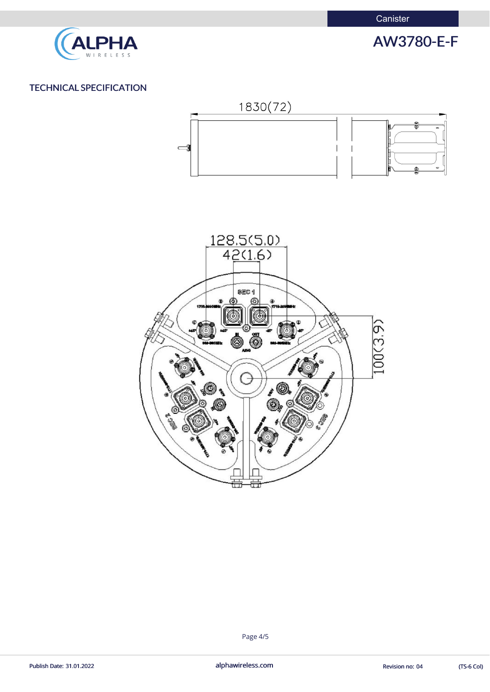

# AW3780-E-F

alphawireless.com Publish Date: 31.01.2022 **Exercise 2.01** alphawireless.com **alphawireless.com** Revision no: 04 (TS-6 Col)

## TECHNICAL SPECIFICATION





#### Page 4/5